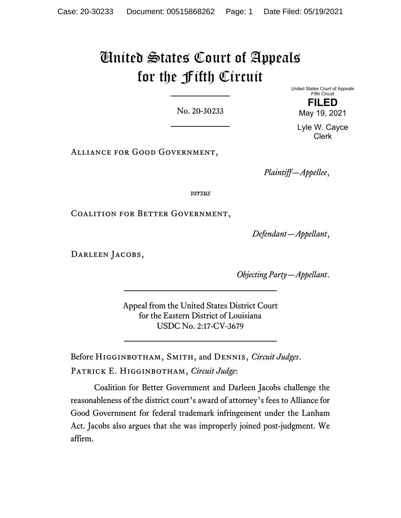# United States Court of Appeals for the Fifth Circuit

No. 20-30233

Alliance for Good Government,

*Plaintiff—Appellee*,

*versus*

Coalition for Better Government,

*Defendant—Appellant*,

DARLEEN JACOBS,

*Objecting Party—Appellant*.

Appeal from the United States District Court for the Eastern District of Louisiana USDC No. 2:17-CV-3679

Before Higginbotham, Smith, and Dennis, *Circuit Judges*. Patrick E. Higginbotham, *Circuit Judge*:

Coalition for Better Government and Darleen Jacobs challenge the reasonableness of the district court's award of attorney's fees to Alliance for Good Government for federal trademark infringement under the Lanham Act. Jacobs also argues that she was improperly joined post-judgment. We affirm.

United States Court of Appeals Fifth Circuit **FILED** May 19, 2021

Lyle W. Cayce Clerk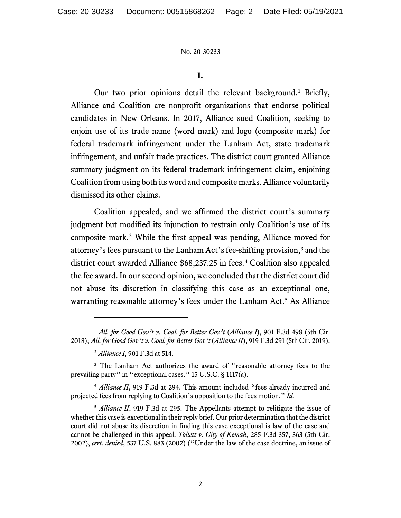# **I.**

Our two prior opinions detail the relevant background.<sup>[1](#page-1-0)</sup> Briefly, Alliance and Coalition are nonprofit organizations that endorse political candidates in New Orleans. In 2017, Alliance sued Coalition, seeking to enjoin use of its trade name (word mark) and logo (composite mark) for federal trademark infringement under the Lanham Act, state trademark infringement, and unfair trade practices. The district court granted Alliance summary judgment on its federal trademark infringement claim, enjoining Coalition from using both its word and composite marks. Alliance voluntarily dismissed its other claims.

Coalition appealed, and we affirmed the district court's summary judgment but modified its injunction to restrain only Coalition's use of its composite mark.[2](#page-1-1) While the first appeal was pending, Alliance moved for attorney's fees pursuant to the Lanham Act's fee-shifting provision,<sup>[3](#page-1-2)</sup> and the district court awarded Alliance \$68,237.25 in fees.<sup>[4](#page-1-3)</sup> Coalition also appealed the fee award. In our second opinion, we concluded that the district court did not abuse its discretion in classifying this case as an exceptional one, warranting reasonable attorney's fees under the Lanham Act.<sup>[5](#page-1-4)</sup> As Alliance

<span id="page-1-3"></span><sup>4</sup> Alliance II, 919 F.3d at 294. This amount included "fees already incurred and projected fees from replying to Coalition's opposition to the fees motion." *Id.*

<span id="page-1-0"></span><sup>&</sup>lt;sup>1</sup> All. for Good Gov't v. Coal. for Better Gov't (Alliance I), 901 F.3d 498 (5th Cir. 2018); *All. for Good Gov't v. Coal. for Better Gov't* (*Alliance II*), 919 F.3d 291 (5th Cir. 2019).

<sup>2</sup> *Alliance I*, 901 F.3d at 514.

<span id="page-1-2"></span><span id="page-1-1"></span><sup>&</sup>lt;sup>3</sup> The Lanham Act authorizes the award of "reasonable attorney fees to the prevailing party" in "exceptional cases." 15 U.S.C. § 1117(a).

<span id="page-1-4"></span><sup>&</sup>lt;sup>5</sup> *Alliance II*, 919 F.3d at 295. The Appellants attempt to relitigate the issue of whether this case is exceptional in their reply brief. Our prior determination that the district court did not abuse its discretion in finding this case exceptional is law of the case and cannot be challenged in this appeal. *Tollett v. City of Kemah*, 285 F.3d 357, 363 (5th Cir. 2002), *cert. denied*, 537 U.S. 883 (2002) ("Under the law of the case doctrine, an issue of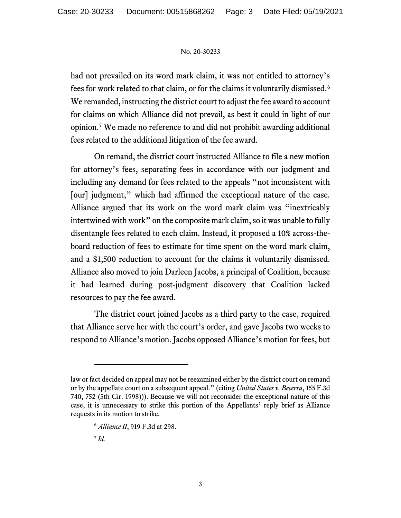had not prevailed on its word mark claim, it was not entitled to attorney's fees for work related to that claim, or for the claims it voluntarily dismissed. [6](#page-2-0) We remanded, instructing the district court to adjust the fee award to account for claims on which Alliance did not prevail, as best it could in light of our opinion. [7](#page-2-1) We made no reference to and did not prohibit awarding additional fees related to the additional litigation of the fee award.

On remand, the district court instructed Alliance to file a new motion for attorney's fees, separating fees in accordance with our judgment and including any demand for fees related to the appeals "not inconsistent with [our] judgment," which had affirmed the exceptional nature of the case. Alliance argued that its work on the word mark claim was "inextricably intertwined with work" on the composite mark claim, so it was unable to fully disentangle fees related to each claim. Instead, it proposed a 10% across-theboard reduction of fees to estimate for time spent on the word mark claim, and a \$1,500 reduction to account for the claims it voluntarily dismissed. Alliance also moved to join Darleen Jacobs, a principal of Coalition, because it had learned during post-judgment discovery that Coalition lacked resources to pay the fee award.

The district court joined Jacobs as a third party to the case, required that Alliance serve her with the court's order, and gave Jacobs two weeks to respond to Alliance's motion. Jacobs opposed Alliance's motion for fees, but

<sup>7</sup> *Id.*

<span id="page-2-1"></span><span id="page-2-0"></span>law or fact decided on appeal may not be reexamined either by the district court on remand or by the appellate court on a subsequent appeal." (citing *United States v. Becerra*, 155 F.3d 740, 752 (5th Cir. 1998))). Because we will not reconsider the exceptional nature of this case, it is unnecessary to strike this portion of the Appellants' reply brief as Alliance requests in its motion to strike.

<sup>6</sup> *Alliance II*, 919 F.3d at 298.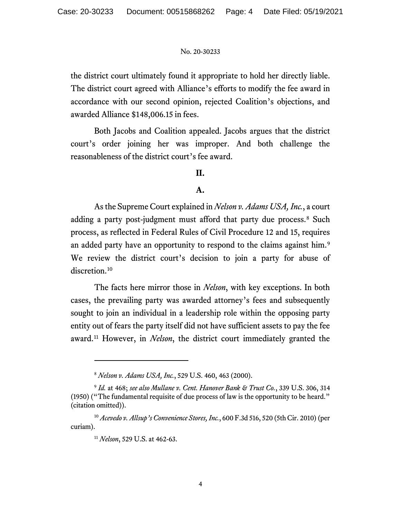the district court ultimately found it appropriate to hold her directly liable. The district court agreed with Alliance's efforts to modify the fee award in accordance with our second opinion, rejected Coalition's objections, and awarded Alliance \$148,006.15 in fees.

Both Jacobs and Coalition appealed. Jacobs argues that the district court's order joining her was improper. And both challenge the reasonableness of the district court's fee award.

# **II.**

# **A.**

As the Supreme Court explained in *Nelson v. Adams USA, Inc.*, a court adding a party post-judgment must afford that party due process.<sup>[8](#page-3-0)</sup> Such process, as reflected in Federal Rules of Civil Procedure 12 and 15, requires an added party have an opportunity to respond to the claims against him.<sup>[9](#page-3-1)</sup> We review the district court's decision to join a party for abuse of discretion. [10](#page-3-2)

The facts here mirror those in *Nelson*, with key exceptions. In both cases, the prevailing party was awarded attorney's fees and subsequently sought to join an individual in a leadership role within the opposing party entity out of fears the party itself did not have sufficient assets to pay the fee award.[11](#page-3-3) However, in *Nelson*, the district court immediately granted the

<sup>8</sup> *Nelson v. Adams USA, Inc.*, 529 U.S. 460, 463 (2000).

<span id="page-3-1"></span><span id="page-3-0"></span><sup>9</sup> *Id.* at 468; *see also Mullane v. Cent. Hanover Bank & Trust Co.*, 339 U.S. 306, 314 (1950) ("The fundamental requisite of due process of law is the opportunity to be heard." (citation omitted)).

<span id="page-3-3"></span><span id="page-3-2"></span><sup>10</sup> *Acevedo v. Allsup's Convenience Stores, Inc.*, 600 F.3d 516, 520 (5th Cir. 2010) (per curiam).

<sup>11</sup> *Nelson*, 529 U.S. at 462-63.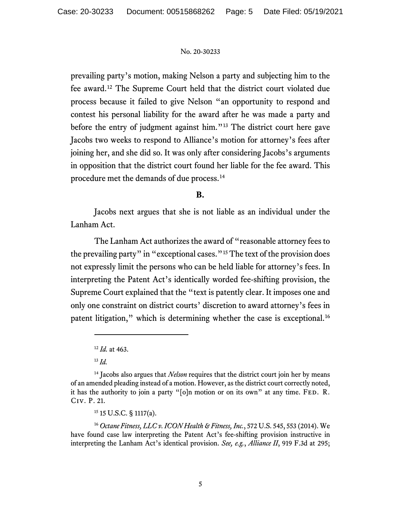prevailing party's motion, making Nelson a party and subjecting him to the fee award.[12](#page-4-0) The Supreme Court held that the district court violated due process because it failed to give Nelson "an opportunity to respond and contest his personal liability for the award after he was made a party and before the entry of judgment against him."<sup>[13](#page-4-1)</sup> The district court here gave Jacobs two weeks to respond to Alliance's motion for attorney's fees after joining her, and she did so. It was only after considering Jacobs's arguments in opposition that the district court found her liable for the fee award. This procedure met the demands of due process.[14](#page-4-2)

# **B.**

Jacobs next argues that she is not liable as an individual under the Lanham Act.

The Lanham Act authorizes the award of "reasonable attorney fees to the prevailing party" in "exceptional cases."[15](#page-4-3) The text of the provision does not expressly limit the persons who can be held liable for attorney's fees. In interpreting the Patent Act's identically worded fee-shifting provision, the Supreme Court explained that the "text is patently clear. It imposes one and only one constraint on district courts' discretion to award attorney's fees in patent litigation," which is determining whether the case is exceptional.[16](#page-4-4)

# <sup>15</sup> 15 U.S.C. § 1117(a).

<span id="page-4-4"></span><span id="page-4-3"></span><sup>16</sup> *Octane Fitness, LLC v. ICON Health & Fitness, Inc.*, 572 U.S. 545, 553 (2014). We have found case law interpreting the Patent Act's fee-shifting provision instructive in interpreting the Lanham Act's identical provision. *See, e.g.*, *Alliance II*, 919 F.3d at 295;

<sup>12</sup> *Id.* at 463.

<sup>13</sup> *Id.*

<span id="page-4-2"></span><span id="page-4-1"></span><span id="page-4-0"></span><sup>&</sup>lt;sup>14</sup> Jacobs also argues that *Nelson* requires that the district court join her by means of an amended pleading instead of a motion. However, as the district court correctly noted, it has the authority to join a party "[o]n motion or on its own" at any time. FED. R. Civ. P. 21.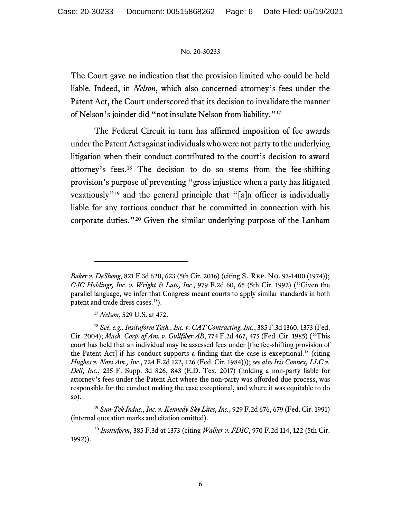The Court gave no indication that the provision limited who could be held liable. Indeed, in *Nelson*, which also concerned attorney's fees under the Patent Act, the Court underscored that its decision to invalidate the manner of Nelson's joinder did "not insulate Nelson from liability."[17](#page-5-0)

The Federal Circuit in turn has affirmed imposition of fee awards under the Patent Act against individuals who were not party to the underlying litigation when their conduct contributed to the court's decision to award attorney's fees.[18](#page-5-1) The decision to do so stems from the fee-shifting provision's purpose of preventing "gross injustice when a party has litigated vexatiously"[19](#page-5-2) and the general principle that "[a]n officer is individually liable for any tortious conduct that he committed in connection with his corporate duties."[20](#page-5-3) Given the similar underlying purpose of the Lanham

*Baker v. DeShong*, 821 F.3d 620, 623 (5th Cir. 2016) (citing S. Rep. No. 93-1400 (1974)); *CJC Holdings, Inc. v. Wright & Lato, Inc.*, 979 F.2d 60, 65 (5th Cir. 1992) ("Given the parallel language, we infer that Congress meant courts to apply similar standards in both patent and trade dress cases.").

<sup>17</sup> *Nelson*, 529 U.S. at 472.

<span id="page-5-1"></span><span id="page-5-0"></span><sup>18</sup> *See, e.g.*, *Insituform Tech., Inc. v. CAT Contracting, Inc.*, 385 F.3d 1360, 1373 (Fed. Cir. 2004); *Mach. Corp. of Am. v. Gullfiber AB*, 774 F.2d 467, 475 (Fed. Cir. 1985) ("This court has held that an individual may be assessed fees under [the fee-shifting provision of the Patent Act] if his conduct supports a finding that the case is exceptional." (citing *Hughes v. Novi Am., Inc.*, 724 F.2d 122, 126 (Fed. Cir. 1984))); *see also Iris Connex, LLC v. Dell, Inc.*, 235 F. Supp. 3d 826, 843 (E.D. Tex. 2017) (holding a non-party liable for attorney's fees under the Patent Act where the non-party was afforded due process, was responsible for the conduct making the case exceptional, and where it was equitable to do so).

<span id="page-5-2"></span><sup>19</sup> *Sun-Tek Indus., Inc. v. Kennedy Sky Lites, Inc.*, 929 F.2d 676, 679 (Fed. Cir. 1991) (internal quotation marks and citation omitted).

<span id="page-5-3"></span><sup>20</sup> *Insituform*, 385 F.3d at 1373 (citing *Walker v. FDIC*, 970 F.2d 114, 122 (5th Cir. 1992)).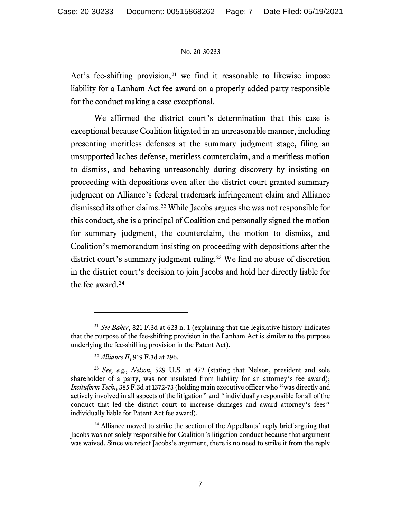Act's fee-shifting provision, $21$  we find it reasonable to likewise impose liability for a Lanham Act fee award on a properly-added party responsible for the conduct making a case exceptional.

We affirmed the district court's determination that this case is exceptional because Coalition litigated in an unreasonable manner, including presenting meritless defenses at the summary judgment stage, filing an unsupported laches defense, meritless counterclaim, and a meritless motion to dismiss, and behaving unreasonably during discovery by insisting on proceeding with depositions even after the district court granted summary judgment on Alliance's federal trademark infringement claim and Alliance dismissed its other claims. [22](#page-6-1) While Jacobs argues she was not responsible for this conduct, she is a principal of Coalition and personally signed the motion for summary judgment, the counterclaim, the motion to dismiss, and Coalition's memorandum insisting on proceeding with depositions after the district court's summary judgment ruling. [23](#page-6-2) We find no abuse of discretion in the district court's decision to join Jacobs and hold her directly liable for the fee award.<sup>[24](#page-6-3)</sup>

<span id="page-6-0"></span><sup>21</sup> *See Baker*, 821 F.3d at 623 n. 1 (explaining that the legislative history indicates that the purpose of the fee-shifting provision in the Lanham Act is similar to the purpose underlying the fee-shifting provision in the Patent Act).

<sup>22</sup> *Alliance II*, 919 F.3d at 296.

<span id="page-6-2"></span><span id="page-6-1"></span><sup>23</sup> *See, e.g.*, *Nelson*, 529 U.S. at 472 (stating that Nelson, president and sole shareholder of a party, was not insulated from liability for an attorney's fee award); *Insituform Tech.*, 385 F.3d at 1372-73 (holding main executive officer who "was directly and actively involved in all aspects of the litigation" and "individually responsible for all of the conduct that led the district court to increase damages and award attorney's fees" individually liable for Patent Act fee award).

<span id="page-6-3"></span><sup>&</sup>lt;sup>24</sup> Alliance moved to strike the section of the Appellants' reply brief arguing that Jacobs was not solely responsible for Coalition's litigation conduct because that argument was waived. Since we reject Jacobs's argument, there is no need to strike it from the reply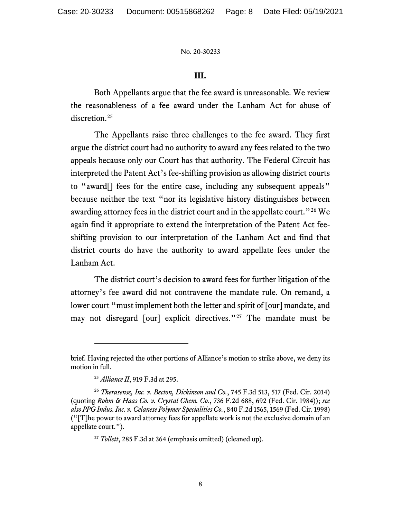# **III.**

Both Appellants argue that the fee award is unreasonable. We review the reasonableness of a fee award under the Lanham Act for abuse of discretion.<sup>[25](#page-7-0)</sup>

The Appellants raise three challenges to the fee award. They first argue the district court had no authority to award any fees related to the two appeals because only our Court has that authority. The Federal Circuit has interpreted the Patent Act's fee-shifting provision as allowing district courts to "award[] fees for the entire case, including any subsequent appeals" because neither the text "nor its legislative history distinguishes between awarding attorney fees in the district court and in the appellate court."<sup>[26](#page-7-1)</sup> We again find it appropriate to extend the interpretation of the Patent Act feeshifting provision to our interpretation of the Lanham Act and find that district courts do have the authority to award appellate fees under the Lanham Act.

The district court's decision to award fees for further litigation of the attorney's fee award did not contravene the mandate rule. On remand, a lower court "must implement both the letter and spirit of [our] mandate, and may not disregard [our] explicit directives."<sup>[27](#page-7-2)</sup> The mandate must be

brief. Having rejected the other portions of Alliance's motion to strike above, we deny its motion in full.

<sup>25</sup> *Alliance II*, 919 F.3d at 295.

<span id="page-7-2"></span><span id="page-7-1"></span><span id="page-7-0"></span><sup>26</sup> *Therasense, Inc. v. Becton, Dickinson and Co.*, 745 F.3d 513, 517 (Fed. Cir. 2014) (quoting *Rohm & Haas Co. v. Crystal Chem. Co.*, 736 F.2d 688, 692 (Fed. Cir. 1984)); *see also PPG Indus. Inc. v. Celanese Polymer Specialities Co.*, 840 F.2d 1565, 1569 (Fed. Cir. 1998) ("[T]he power to award attorney fees for appellate work is not the exclusive domain of an appellate court.").

<sup>27</sup> *Tollett*, 285 F.3d at 364 (emphasis omitted) (cleaned up).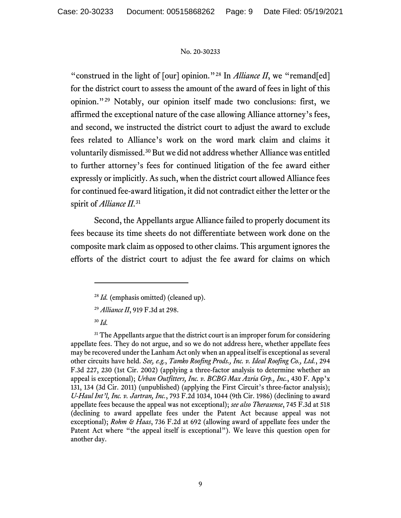"construed in the light of [our] opinion."<sup>[28](#page-8-0)</sup> In *Alliance II*, we "remand[ed] for the district court to assess the amount of the award of fees in light of this opinion."[29](#page-8-1) Notably, our opinion itself made two conclusions: first, we affirmed the exceptional nature of the case allowing Alliance attorney's fees, and second, we instructed the district court to adjust the award to exclude fees related to Alliance's work on the word mark claim and claims it voluntarily dismissed.[30](#page-8-2) But we did not address whether Alliance was entitled to further attorney's fees for continued litigation of the fee award either expressly or implicitly. As such, when the district court allowed Alliance fees for continued fee-award litigation, it did not contradict either the letter or the spirit of *Alliance II*.[31](#page-8-3)

Second, the Appellants argue Alliance failed to properly document its fees because its time sheets do not differentiate between work done on the composite mark claim as opposed to other claims. This argument ignores the efforts of the district court to adjust the fee award for claims on which

<sup>&</sup>lt;sup>28</sup> *Id.* (emphasis omitted) (cleaned up).

<sup>29</sup> *Alliance II*, 919 F.3d at 298.

<sup>30</sup> *Id.*

<span id="page-8-3"></span><span id="page-8-2"></span><span id="page-8-1"></span><span id="page-8-0"></span> $31$  The Appellants argue that the district court is an improper forum for considering appellate fees. They do not argue, and so we do not address here, whether appellate fees may be recovered under the Lanham Act only when an appeal itself is exceptional as several other circuits have held. *See, e.g.*, *Tamko Roofing Prods., Inc. v. Ideal Roofing Co., Ltd.*, 294 F.3d 227, 230 (1st Cir. 2002) (applying a three-factor analysis to determine whether an appeal is exceptional); *Urban Outfitters, Inc. v. BCBG Max Azria Grp., Inc.*, 430 F. App'x 131, 134 (3d Cir. 2011) (unpublished) (applying the First Circuit's three-factor analysis); *U-Haul Int'l, Inc. v. Jartran, Inc.*, 793 F.2d 1034, 1044 (9th Cir. 1986) (declining to award appellate fees because the appeal was not exceptional); *see also Therasense*, 745 F.3d at 518 (declining to award appellate fees under the Patent Act because appeal was not exceptional); *Rohm & Haas*, 736 F.2d at 692 (allowing award of appellate fees under the Patent Act where "the appeal itself is exceptional"). We leave this question open for another day.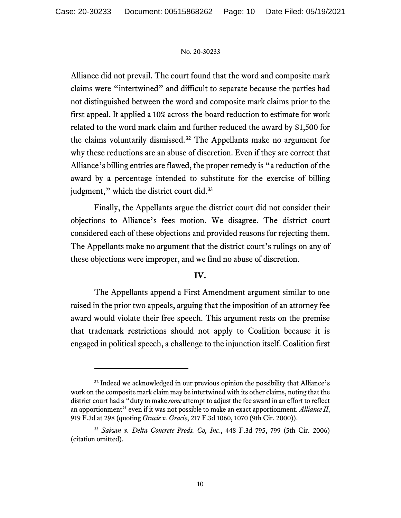Alliance did not prevail. The court found that the word and composite mark claims were "intertwined" and difficult to separate because the parties had not distinguished between the word and composite mark claims prior to the first appeal. It applied a 10% across-the-board reduction to estimate for work related to the word mark claim and further reduced the award by \$1,500 for the claims voluntarily dismissed.[32](#page-9-0) The Appellants make no argument for why these reductions are an abuse of discretion. Even if they are correct that Alliance's billing entries are flawed, the proper remedy is "a reduction of the award by a percentage intended to substitute for the exercise of billing judgment," which the district court did.<sup>[33](#page-9-1)</sup>

Finally, the Appellants argue the district court did not consider their objections to Alliance's fees motion. We disagree. The district court considered each of these objections and provided reasons for rejecting them. The Appellants make no argument that the district court's rulings on any of these objections were improper, and we find no abuse of discretion.

# **IV.**

The Appellants append a First Amendment argument similar to one raised in the prior two appeals, arguing that the imposition of an attorney fee award would violate their free speech. This argument rests on the premise that trademark restrictions should not apply to Coalition because it is engaged in political speech, a challenge to the injunction itself. Coalition first

<span id="page-9-0"></span><sup>&</sup>lt;sup>32</sup> Indeed we acknowledged in our previous opinion the possibility that Alliance's work on the composite mark claim may be intertwined with its other claims, noting that the district court had a "duty to make *some* attempt to adjust the fee award in an effort to reflect an apportionment" even if it was not possible to make an exact apportionment. *Alliance II*, 919 F.3d at 298 (quoting *Gracie v. Gracie*, 217 F.3d 1060, 1070 (9th Cir. 2000)).

<span id="page-9-1"></span><sup>33</sup> *Saizan v. Delta Concrete Prods. Co, Inc.*, 448 F.3d 795, 799 (5th Cir. 2006) (citation omitted).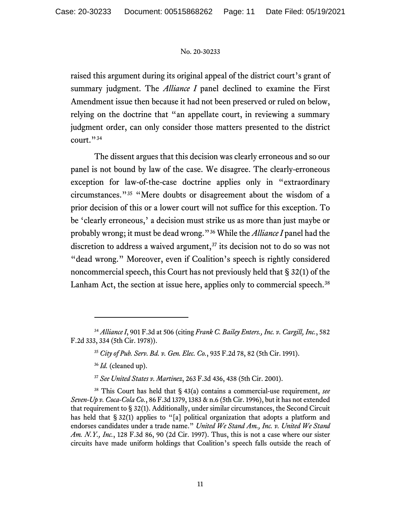raised this argument during its original appeal of the district court's grant of summary judgment. The *Alliance I* panel declined to examine the First Amendment issue then because it had not been preserved or ruled on below, relying on the doctrine that "an appellate court, in reviewing a summary judgment order, can only consider those matters presented to the district court."<sup>[34](#page-10-0)</sup>

The dissent argues that this decision was clearly erroneous and so our panel is not bound by law of the case. We disagree. The clearly-erroneous exception for law-of-the-case doctrine applies only in "extraordinary circumstances."[35](#page-10-1) "Mere doubts or disagreement about the wisdom of a prior decision of this or a lower court will not suffice for this exception. To be 'clearly erroneous,' a decision must strike us as more than just maybe or probably wrong; it must be dead wrong."[36](#page-10-2) While the *Alliance I* panel had the discretion to address a waived argument, $37$  its decision not to do so was not "dead wrong." Moreover, even if Coalition's speech is rightly considered noncommercial speech, this Court has not previously held that § 32(1) of the Lanham Act, the section at issue here, applies only to commercial speech.<sup>[38](#page-10-4)</sup>

<sup>37</sup> *See United States v. Martinez*, 263 F.3d 436, 438 (5th Cir. 2001).

<span id="page-10-4"></span><span id="page-10-3"></span><span id="page-10-2"></span><sup>38</sup> This Court has held that § 43(a) contains a commercial-use requirement, *see Seven-Up v. Coca-Cola Co.*, 86 F.3d 1379, 1383 & n.6 (5th Cir. 1996), but it has not extended that requirement to § 32(1). Additionally, under similar circumstances, the Second Circuit has held that § 32(1) applies to "[a] political organization that adopts a platform and endorses candidates under a trade name." *United We Stand Am., Inc. v. United We Stand Am. N.Y., Inc.*, 128 F.3d 86, 90 (2d Cir. 1997). Thus, this is not a case where our sister circuits have made uniform holdings that Coalition's speech falls outside the reach of

<span id="page-10-1"></span><span id="page-10-0"></span><sup>34</sup> *Alliance I*, 901 F.3d at 506 (citing *Frank C. Bailey Enters., Inc. v. Cargill, Inc.*, 582 F.2d 333, 334 (5th Cir. 1978)).

<sup>35</sup> *City of Pub. Serv. Bd. v. Gen. Elec. Co.*, 935 F.2d 78, 82 (5th Cir. 1991).

<sup>36</sup> *Id.* (cleaned up).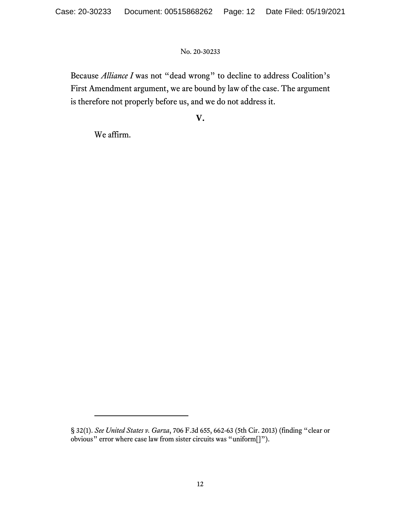Because *Alliance I* was not "dead wrong" to decline to address Coalition's First Amendment argument, we are bound by law of the case. The argument is therefore not properly before us, and we do not address it.

# **V.**

We affirm.

<sup>§</sup> 32(1). *See United States v. Garza*, 706 F.3d 655, 662-63 (5th Cir. 2013) (finding "clear or obvious" error where case law from sister circuits was "uniform[]").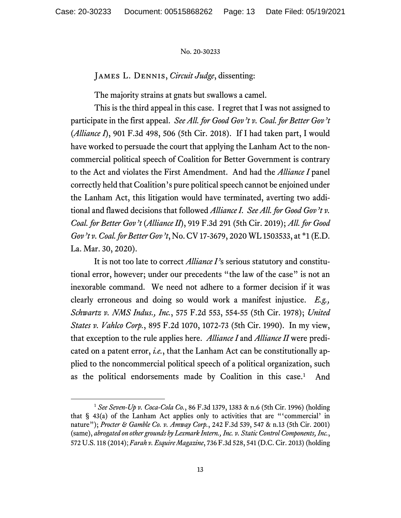# James L. Dennis, *Circuit Judge*, dissenting:

The majority strains at gnats but swallows a camel.

This is the third appeal in this case. I regret that I was not assigned to participate in the first appeal. *See All. for Good Gov't v. Coal. for Better Gov't*  (*Alliance I*), 901 F.3d 498, 506 (5th Cir. 2018). If I had taken part, I would have worked to persuade the court that applying the Lanham Act to the noncommercial political speech of Coalition for Better Government is contrary to the Act and violates the First Amendment. And had the *Alliance I* panel correctly held that Coalition's pure political speech cannot be enjoined under the Lanham Act, this litigation would have terminated, averting two additional and flawed decisions that followed *Alliance I*. *See All. for Good Gov't v. Coal. for Better Gov't* (*Alliance II*), 919 F.3d 291 (5th Cir. 2019); *All. for Good Gov't v.Coal. for Better Gov't*, No. CV 17-3679, 2020 WL 1503533, at \*1 (E.D. La. Mar. 30, 2020).

It is not too late to correct *Alliance I'*s serious statutory and constitutional error, however; under our precedents "the law of the case" is not an inexorable command. We need not adhere to a former decision if it was clearly erroneous and doing so would work a manifest injustice. *E.g., Schwartz v. NMS Indus., Inc.*, 575 F.2d 553, 554-55 (5th Cir. 1978); *United States v. Vahlco Corp.*, 895 F.2d 1070, 1072-73 (5th Cir. 1990). In my view, that exception to the rule applies here. *Alliance I* and *Alliance II* were predicated on a patent error, *i.e.*, that the Lanham Act can be constitutionally applied to the noncommercial political speech of a political organization, such as the political endorsements made by Coalition in this case.<sup>[1](#page-12-0)</sup> And

<span id="page-12-0"></span><sup>1</sup> *See Seven-Up v. Coca-Cola Co.*, 86 F.3d 1379, 1383 & n.6 (5th Cir. 1996) (holding that § 43(a) of the Lanham Act applies only to activities that are "'commercial' in nature"); *Procter & Gamble Co. v. Amway Corp.*, 242 F.3d 539, 547 & n.13 (5th Cir. 2001) (same), *abrogated on other grounds by Lexmark Intern., Inc. v. Static Control Components, Inc.*, 572 U.S. 118 (2014); *Farah v. Esquire Magazine*, 736 F.3d 528, 541 (D.C. Cir. 2013) (holding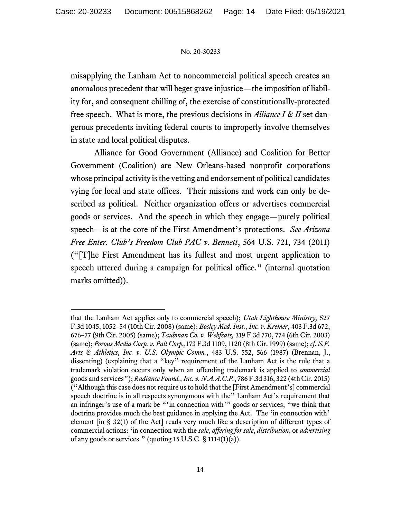misapplying the Lanham Act to noncommercial political speech creates an anomalous precedent that will beget grave injustice—the imposition of liability for, and consequent chilling of, the exercise of constitutionally-protected free speech. What is more, the previous decisions in *Alliance I & II* set dangerous precedents inviting federal courts to improperly involve themselves in state and local political disputes.

Alliance for Good Government (Alliance) and Coalition for Better Government (Coalition) are New Orleans-based nonprofit corporations whose principal activity is the vetting and endorsement of political candidates vying for local and state offices. Their missions and work can only be described as political. Neither organization offers or advertises commercial goods or services. And the speech in which they engage—purely political speech—is at the core of the First Amendment's protections. *See Arizona Free Enter. Club's Freedom Club PAC v. Bennett*, 564 U.S. 721, 734 (2011) ("[T]he First Amendment has its fullest and most urgent application to speech uttered during a campaign for political office." (internal quotation marks omitted)).

that the Lanham Act applies only to commercial speech); *Utah Lighthouse Ministry,* 527 F.3d 1045, 1052–54 (10th Cir. 2008) (same); *Bosley Med. Inst., Inc. v. Kremer,* 403 F.3d 672, 676–77 (9th Cir. 2005) (same); *Taubman Co. v. Webfeats,* 319 F.3d 770, 774 (6th Cir. 2003) (same); *Porous Media Corp. v. Pall Corp.,*173 F.3d 1109, 1120 (8th Cir. 1999) (same); *cf. S.F. Arts & Athletics, Inc. v. U.S. Olympic Comm.*, 483 U.S. 552, 566 (1987) (Brennan, J., dissenting) (explaining that a "key" requirement of the Lanham Act is the rule that a trademark violation occurs only when an offending trademark is applied to *commercial*  goods and services"); *Radiance Found., Inc. v. N.A.A.C.P.*, 786 F.3d 316, 322 (4th Cir. 2015) ("Although this case does not require us to hold that the [First Amendment's] commercial speech doctrine is in all respects synonymous with the" Lanham Act's requirement that an infringer's use of a mark be "'in connection with'" goods or services, "we think that doctrine provides much the best guidance in applying the Act. The 'in connection with' element [in § 32(1) of the Act] reads very much like a description of different types of commercial actions: 'in connection with the *sale*, *offering for sale*, *distribution*, or *advertising*  of any goods or services." (quoting  $15$  U.S.C. §  $1114(1)(a)$ ).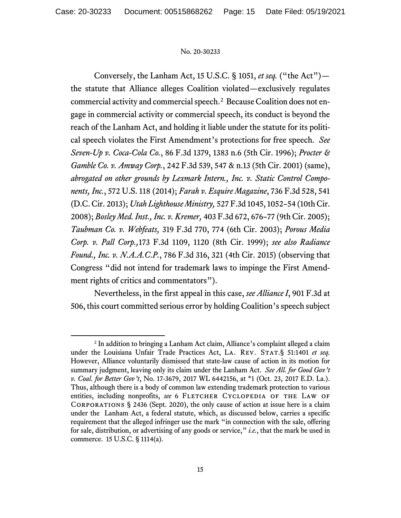Conversely, the Lanham Act, 15 U.S.C. § 1051, *et seq.* ("the Act") the statute that Alliance alleges Coalition violated—exclusively regulates commercial activity and commercial speech. [2](#page-14-0) Because Coalition does not engage in commercial activity or commercial speech, its conduct is beyond the reach of the Lanham Act, and holding it liable under the statute for its political speech violates the First Amendment's protections for free speech. *See Seven-Up v. Coca-Cola Co.*, 86 F.3d 1379, 1383 n.6 (5th Cir. 1996); *Procter & Gamble Co. v. Amway Corp.*, 242 F.3d 539, 547 & n.13 (5th Cir. 2001) (same), *abrogated on other grounds by Lexmark Intern., Inc. v. Static Control Components, Inc.*, 572 U.S. 118 (2014); *Farah v. Esquire Magazine*, 736 F.3d 528, 541 (D.C.Cir. 2013); *Utah Lighthouse Ministry,* 527 F.3d 1045, 1052–54 (10th Cir. 2008); *Bosley Med. Inst., Inc. v. Kremer,* 403 F.3d 672, 676–77 (9th Cir. 2005); *Taubman Co. v. Webfeats,* 319 F.3d 770, 774 (6th Cir. 2003); *Porous Media Corp. v. Pall Corp.,*173 F.3d 1109, 1120 (8th Cir. 1999); *see also Radiance Found., Inc. v. N.A.A.C.P.*, 786 F.3d 316, 321 (4th Cir. 2015) (observing that Congress "did not intend for trademark laws to impinge the First Amendment rights of critics and commentators").

Nevertheless, in the first appeal in this case, *see Alliance I*, 901 F.3d at 506, this court committed serious error by holding Coalition's speech subject

<span id="page-14-0"></span><sup>2</sup> In addition to bringing a Lanham Act claim, Alliance's complaint alleged a claim under the Louisiana Unfair Trade Practices Act, LA. REV. STAT.§ 51:1401 et seq. However, Alliance voluntarily dismissed that state-law cause of action in its motion for summary judgment, leaving only its claim under the Lanham Act. *See All. for Good Gov't v. Coal. for Better Gov't*, No. 17-3679, 2017 WL 6442156, at \*1 (Oct. 23, 2017 E.D. La.). Thus, although there is a body of common law extending trademark protection to various entities, including nonprofits, see 6 FLETCHER CYCLOPEDIA OF THE LAW OF Corporations § 2436 (Sept. 2020), the only cause of action at issue here is a claim under the Lanham Act, a federal statute, which, as discussed below, carries a specific requirement that the alleged infringer use the mark "in connection with the sale, offering for sale, distribution, or advertising of any goods or service," *i.e.*, that the mark be used in commerce. 15 U.S.C. § 1114(a).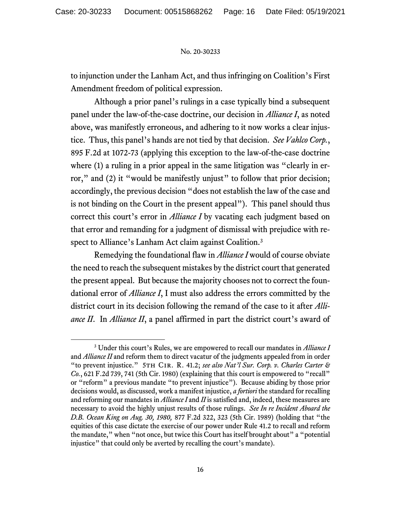to injunction under the Lanham Act, and thus infringing on Coalition's First Amendment freedom of political expression.

Although a prior panel's rulings in a case typically bind a subsequent panel under the law-of-the-case doctrine, our decision in *Alliance I*, as noted above, was manifestly erroneous, and adhering to it now works a clear injustice. Thus, this panel's hands are not tied by that decision. *See Vahlco Corp.*, 895 F.2d at 1072-73 (applying this exception to the law-of-the-case doctrine where (1) a ruling in a prior appeal in the same litigation was "clearly in error," and (2) it "would be manifestly unjust" to follow that prior decision; accordingly, the previous decision "does not establish the law of the case and is not binding on the Court in the present appeal"). This panel should thus correct this court's error in *Alliance I* by vacating each judgment based on that error and remanding for a judgment of dismissal with prejudice with respect to Alliance's Lanham Act claim against Coalition. [3](#page-15-0)

Remedying the foundational flaw in *Alliance I* would of course obviate the need to reach the subsequent mistakes by the district court that generated the present appeal. But because the majority chooses not to correct the foundational error of *Alliance I*, I must also address the errors committed by the district court in its decision following the remand of the case to it after *Alliance II*. In *Alliance II*, a panel affirmed in part the district court's award of

<span id="page-15-0"></span><sup>3</sup> Under this court's Rules, we are empowered to recall our mandates in *Alliance I*  and *Alliance II* and reform them to direct vacatur of the judgments appealed from in order "to prevent injustice." 5th Cir. R. 41.2; *see also Nat'l Sur. Corp. v. Charles Carter & Co.*, 621 F.2d 739, 741 (5th Cir. 1980) (explaining that this court is empowered to "recall" or "reform" a previous mandate "to prevent injustice"). Because abiding by those prior decisions would, as discussed, work a manifest injustice, *a fortiori* the standard for recalling and reforming our mandates in *Alliance I* and *II* is satisfied and, indeed, these measures are necessary to avoid the highly unjust results of those rulings. *See In re Incident Aboard the D.B. Ocean King on Aug. 30, 1980,* 877 F.2d 322, 323 (5th Cir. 1989) (holding that "the equities of this case dictate the exercise of our power under Rule 41.2 to recall and reform the mandate," when "not once, but twice this Court has itself brought about" a "potential injustice" that could only be averted by recalling the court's mandate).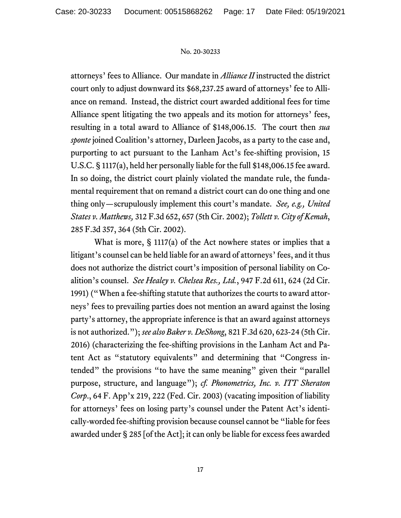attorneys' fees to Alliance. Our mandate in *Alliance II* instructed the district court only to adjust downward its \$68,237.25 award of attorneys' fee to Alliance on remand. Instead, the district court awarded additional fees for time Alliance spent litigating the two appeals and its motion for attorneys' fees, resulting in a total award to Alliance of \$148,006.15. The court then *sua sponte* joined Coalition's attorney, Darleen Jacobs, as a party to the case and, purporting to act pursuant to the Lanham Act's fee-shifting provision, 15 U.S.C. § 1117(a), held her personally liable for the full \$148,006.15 fee award. In so doing, the district court plainly violated the mandate rule, the fundamental requirement that on remand a district court can do one thing and one thing only—scrupulously implement this court's mandate. *See, e.g., United States v. Matthews,* 312 F.3d 652, 657 (5th Cir. 2002); *Tollett v. City of Kemah*, 285 F.3d 357, 364 (5th Cir. 2002).

What is more, § 1117(a) of the Act nowhere states or implies that a litigant's counsel can be held liable for an award of attorneys' fees, and it thus does not authorize the district court's imposition of personal liability on Coalition's counsel. *See Healey v. Chelsea Res., Ltd.*, 947 F.2d 611, 624 (2d Cir. 1991) ("When a fee-shifting statute that authorizes the courts to award attorneys' fees to prevailing parties does not mention an award against the losing party's attorney, the appropriate inference is that an award against attorneys is not authorized."); *see also Baker v. DeShong*, 821 F.3d 620, 623-24 (5th Cir. 2016) (characterizing the fee-shifting provisions in the Lanham Act and Patent Act as "statutory equivalents" and determining that "Congress intended" the provisions "to have the same meaning" given their "parallel purpose, structure, and language"); *cf. Phonometrics, Inc. v. ITT Sheraton Corp*., 64 F. App'x 219, 222 (Fed. Cir. 2003) (vacating imposition of liability for attorneys' fees on losing party's counsel under the Patent Act's identically-worded fee-shifting provision because counsel cannot be "liable for fees awarded under § 285 [of the Act]; it can only be liable for excess fees awarded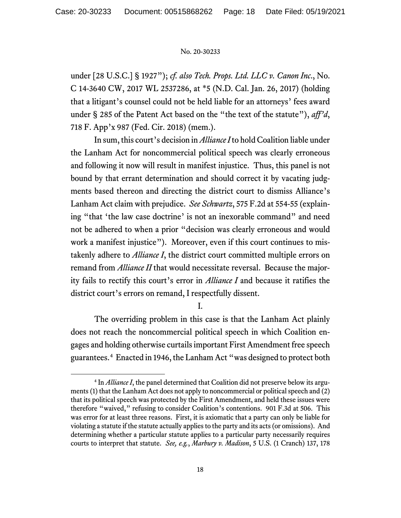under [28 U.S.C.] § 1927"); *cf. also Tech. Props. Ltd. LLC v. Canon Inc*., No. C 14-3640 CW, 2017 WL 2537286, at \*5 (N.D. Cal. Jan. 26, 2017) (holding that a litigant's counsel could not be held liable for an attorneys' fees award under § 285 of the Patent Act based on the "the text of the statute"), *aff'd*, 718 F. App'x 987 (Fed. Cir. 2018) (mem.).

In sum, this court's decision in *Alliance I* to hold Coalition liable under the Lanham Act for noncommercial political speech was clearly erroneous and following it now will result in manifest injustice. Thus, this panel is not bound by that errant determination and should correct it by vacating judgments based thereon and directing the district court to dismiss Alliance's Lanham Act claim with prejudice. *See Schwartz*, 575 F.2d at 554-55 (explaining "that 'the law case doctrine' is not an inexorable command" and need not be adhered to when a prior "decision was clearly erroneous and would work a manifest injustice"). Moreover, even if this court continues to mistakenly adhere to *Alliance I*, the district court committed multiple errors on remand from *Alliance II* that would necessitate reversal. Because the majority fails to rectify this court's error in *Alliance I* and because it ratifies the district court's errors on remand, I respectfully dissent.

I.

The overriding problem in this case is that the Lanham Act plainly does not reach the noncommercial political speech in which Coalition engages and holding otherwise curtails important First Amendment free speech guarantees. [4](#page-17-0) Enacted in 1946, the Lanham Act "was designed to protect both

<span id="page-17-0"></span><sup>&</sup>lt;sup>4</sup> In *Alliance I*, the panel determined that Coalition did not preserve below its arguments (1) that the Lanham Act does not apply to noncommercial or political speech and (2) that its political speech was protected by the First Amendment, and held these issues were therefore "waived," refusing to consider Coalition's contentions. 901 F.3d at 506. This was error for at least three reasons. First, it is axiomatic that a party can only be liable for violating a statute if the statute actually applies to the party and its acts (or omissions). And determining whether a particular statute applies to a particular party necessarily requires courts to interpret that statute. *See, e.g.*, *Marbury v. Madison*, 5 U.S. (1 Cranch) 137, 178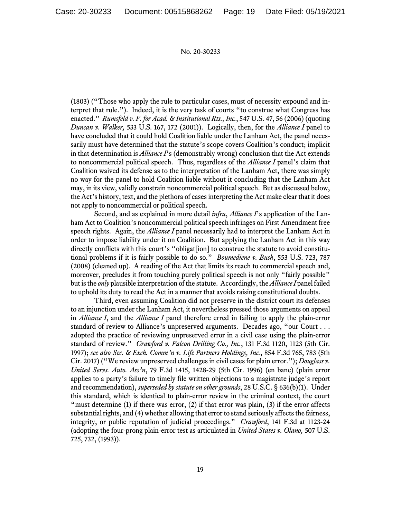(1803) ("Those who apply the rule to particular cases, must of necessity expound and interpret that rule."). Indeed, it is the very task of courts "to construe what Congress has enacted." *Rumsfeld v. F. for Acad. & Institutional Rts., Inc.*, 547 U.S. 47, 56 (2006) (quoting *Duncan v. Walker,* 533 U.S. 167, 172 (2001)). Logically, then, for the *Alliance I* panel to have concluded that it could hold Coalition liable under the Lanham Act, the panel necessarily must have determined that the statute's scope covers Coalition's conduct; implicit in that determination is *Alliance I*'s (demonstrably wrong) conclusion that the Act extends to noncommercial political speech. Thus, regardless of the *Alliance I* panel's claim that Coalition waived its defense as to the interpretation of the Lanham Act, there was simply no way for the panel to hold Coalition liable without it concluding that the Lanham Act may, in its view, validly constrain noncommercial political speech. But as discussed below, the Act's history, text, and the plethora of cases interpreting the Act make clear that it does not apply to noncommercial or political speech.

Second, and as explained in more detail *infra*, *Alliance I*'s application of the Lanham Act to Coalition's noncommercial political speech infringes on First Amendment free speech rights. Again, the *Alliance I* panel necessarily had to interpret the Lanham Act in order to impose liability under it on Coalition. But applying the Lanham Act in this way directly conflicts with this court's "obligat[ion] to construe the statute to avoid constitutional problems if it is fairly possible to do so." *Boumediene v. Bush*, 553 U.S. 723, 787 (2008) (cleaned up). A reading of the Act that limits its reach to commercial speech and, moreover, precludes it from touching purely political speech is not only "fairly possible" but is the *only* plausible interpretation of the statute. Accordingly, the *Alliance I* panel failed to uphold its duty to read the Act in a manner that avoids raising constitutional doubts.

Third, even assuming Coalition did not preserve in the district court its defenses to an injunction under the Lanham Act, it nevertheless pressed those arguments on appeal in *Alliance I*, and the *Alliance I* panel therefore erred in failing to apply the plain-error standard of review to Alliance's unpreserved arguments. Decades ago, "our Court . . . adopted the practice of reviewing unpreserved error in a civil case using the plain-error standard of review." *Crawford v. Falcon Drilling Co., Inc.*, 131 F.3d 1120, 1123 (5th Cir. 1997); *see also Sec. & Exch. Comm'n v. Life Partners Holdings, Inc.*, 854 F.3d 765, 783 (5th Cir. 2017) ("We review unpreserved challenges in civil cases for plain error."); *Douglass v. United Servs. Auto. Ass'n*, 79 F.3d 1415, 1428-29 (5th Cir. 1996) (en banc) (plain error applies to a party's failure to timely file written objections to a magistrate judge's report and recommendation), *superseded by statute on other grounds*, 28 U.S.C. § 636(b)(1). Under this standard, which is identical to plain-error review in the criminal context, the court "must determine  $(1)$  if there was error,  $(2)$  if that error was plain,  $(3)$  if the error affects substantial rights, and (4) whether allowing that error to stand seriously affects the fairness, integrity, or public reputation of judicial proceedings." *Crawford*, 141 F.3d at 1123-24 (adopting the four-prong plain-error test as articulated in *United States v. Olano,* 507 U.S. 725, 732, (1993)).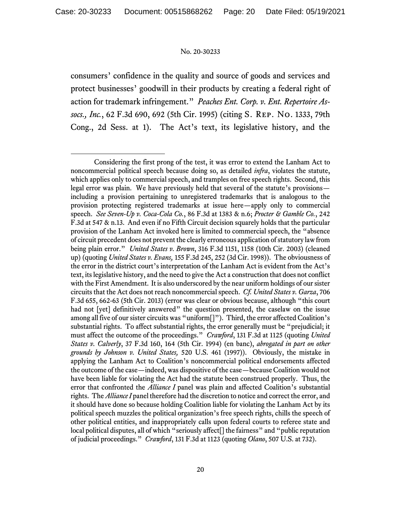consumers' confidence in the quality and source of goods and services and protect businesses' goodwill in their products by creating a federal right of action for trademark infringement." *Peaches Ent. Corp. v. Ent. Repertoire Assocs., Inc.*, 62 F.3d 690, 692 (5th Cir. 1995) (citing S. Rep. No. 1333, 79th Cong., 2d Sess. at 1). The Act's text, its legislative history, and the

Considering the first prong of the test, it was error to extend the Lanham Act to noncommercial political speech because doing so, as detailed *infra*, violates the statute, which applies only to commercial speech, and tramples on free speech rights. Second, this legal error was plain. We have previously held that several of the statute's provisions including a provision pertaining to unregistered trademarks that is analogous to the provision protecting registered trademarks at issue here—apply only to commercial speech. *See Seven-Up v. Coca-Cola Co.*, 86 F.3d at 1383 & n.6; *Procter & Gamble Co.*, 242 F.3d at 547 & n.13. And even if no Fifth Circuit decision squarely holds that the particular provision of the Lanham Act invoked here is limited to commercial speech, the "absence of circuit precedent does not prevent the clearly erroneous application of statutory law from being plain error." *United States v. Brown*, 316 F.3d 1151, 1158 (10th Cir. 2003) (cleaned up) (quoting *United States v. Evans,* 155 F.3d 245, 252 (3d Cir. 1998)). The obviousness of the error in the district court's interpretation of the Lanham Act is evident from the Act's text, its legislative history, and the need to give the Act a construction that does not conflict with the First Amendment. It is also underscored by the near uniform holdings of our sister circuits that the Act does not reach noncommercial speech. *Cf. United States v. Garza*, 706 F.3d 655, 662-63 (5th Cir. 2013) (error was clear or obvious because, although "this court had not [yet] definitively answered" the question presented, the caselaw on the issue among all five of our sister circuits was "uniform[]"). Third, the error affected Coalition's substantial rights. To affect substantial rights, the error generally must be "prejudicial; it must affect the outcome of the proceedings." *Crawford*, 131 F.3d at 1125 (quoting *United States v. Calverly*, 37 F.3d 160, 164 (5th Cir. 1994) (en banc), *abrogated in part on other grounds by Johnson v. United States,* 520 U.S. 461 (1997)). Obviously, the mistake in applying the Lanham Act to Coalition's noncommercial political endorsements affected the outcome of the case—indeed, was dispositive of the case—becauseCoalition would not have been liable for violating the Act had the statute been construed properly. Thus, the error that confronted the *Alliance I* panel was plain and affected Coalition's substantial rights. The *AllianceI* panel therefore had the discretion to notice and correct the error, and it should have done so because holding Coalition liable for violating the Lanham Act by its political speech muzzles the political organization's free speech rights, chills the speech of other political entities, and inappropriately calls upon federal courts to referee state and local political disputes, all of which "seriously affect<sup>[]</sup> the fairness" and "public reputation" of judicial proceedings." *Crawford*, 131 F.3d at 1123 (quoting *Olano*, 507 U.S. at 732).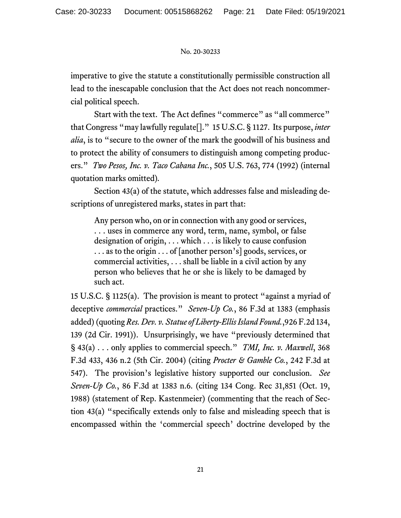imperative to give the statute a constitutionally permissible construction all lead to the inescapable conclusion that the Act does not reach noncommercial political speech.

Start with the text. The Act defines "commerce" as "all commerce" that Congress "may lawfully regulate[]." 15 U.S.C. § 1127. Its purpose, *inter alia*, is to "secure to the owner of the mark the goodwill of his business and to protect the ability of consumers to distinguish among competing producers." *Two Pesos, Inc. v. Taco Cabana Inc.*, 505 U.S. 763, 774 (1992) (internal quotation marks omitted)*.* 

Section 43(a) of the statute, which addresses false and misleading descriptions of unregistered marks, states in part that:

Any person who, on or in connection with any good or services, . . . uses in commerce any word, term, name, symbol, or false designation of origin, . . . which . . . is likely to cause confusion . . . as to the origin . . . of [another person's] goods, services, or commercial activities, . . . shall be liable in a civil action by any person who believes that he or she is likely to be damaged by such act.

15 U.S.C. § 1125(a). The provision is meant to protect "against a myriad of deceptive *commercial* practices." *Seven-Up Co.*, 86 F.3d at 1383 (emphasis added) (quoting *Res. Dev. v. Statue of Liberty-Ellis Island Found.*,926 F.2d 134, 139 (2d Cir. 1991)). Unsurprisingly, we have "previously determined that § 43(a) . . . only applies to commercial speech." *TMI, Inc. v. Maxwell*, 368 F.3d 433, 436 n.2 (5th Cir. 2004) (citing *Procter & Gamble Co.*, 242 F.3d at 547). The provision's legislative history supported our conclusion. *See Seven-Up Co.*, 86 F.3d at 1383 n.6. (citing 134 Cong. Rec 31,851 (Oct. 19, 1988) (statement of Rep. Kastenmeier) (commenting that the reach of Section 43(a) "specifically extends only to false and misleading speech that is encompassed within the 'commercial speech' doctrine developed by the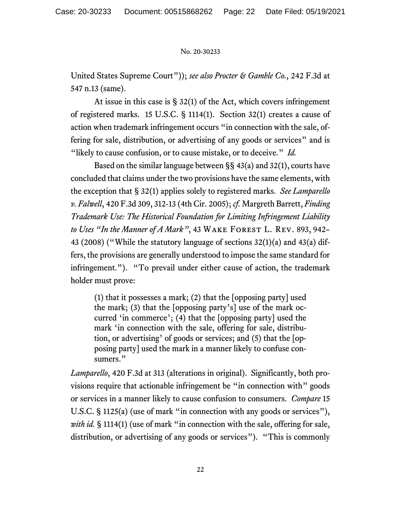United States Supreme Court")); *see also Procter & Gamble Co.*, 242 F.3d at 547 n.13 (same).

At issue in this case is  $\S 32(1)$  of the Act, which covers infringement of registered marks. 15 U.S.C. § 1114(1). Section 32(1) creates a cause of action when trademark infringement occurs "in connection with the sale, offering for sale, distribution, or advertising of any goods or services" and is "likely to cause confusion, or to cause mistake, or to deceive." *Id.* 

Based on the similar language between §§ 43(a) and 32(1), courts have concluded that claims under the two provisions have the same elements, with the exception that § 32(1) applies solely to registered marks. *See Lamparello v. Falwell*, 420 F.3d 309, 312-13 (4th Cir. 2005); *cf.* Margreth Barrett, *Finding Trademark Use: The Historical Foundation for Limiting Infringement Liability to Uses "In the Manner of A Mark"*, 43 Wake Forest L. Rev. 893, 942– 43 (2008) ("While the statutory language of sections 32(1)(a) and 43(a) differs, the provisions are generally understood to impose the same standard for infringement."). "To prevail under either cause of action, the trademark holder must prove:

(1) that it possesses a mark; (2) that the [opposing party] used the mark; (3) that the [opposing party's] use of the mark occurred 'in commerce'; (4) that the [opposing party] used the mark 'in connection with the sale, offering for sale, distribution, or advertising' of goods or services; and (5) that the [opposing party] used the mark in a manner likely to confuse consumers."

*Lamparello*, 420 F.3d at 313 (alterations in original). Significantly, both provisions require that actionable infringement be "in connection with" goods or services in a manner likely to cause confusion to consumers. *Compare* 15 U.S.C. § 1125(a) (use of mark "in connection with any goods or services"), *with id.* § 1114(1) (use of mark "in connection with the sale, offering for sale, distribution, or advertising of any goods or services"). "This is commonly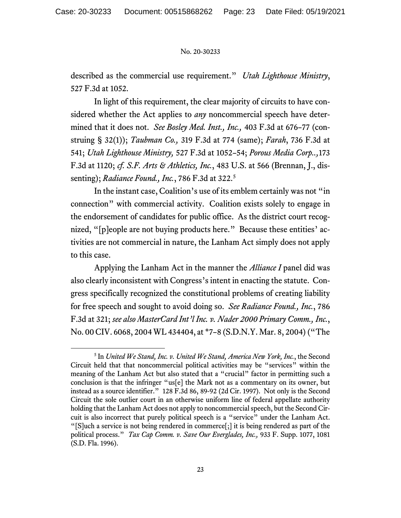described as the commercial use requirement." *Utah Lighthouse Ministry*, 527 F.3d at 1052.

In light of this requirement, the clear majority of circuits to have considered whether the Act applies to *any* noncommercial speech have determined that it does not. *See Bosley Med. Inst., Inc.,* 403 F.3d at 676–77 (construing § 32(1)); *Taubman Co.,* 319 F.3d at 774 (same); *Farah*, 736 F.3d at 541; *Utah Lighthouse Ministry,* 527 F.3d at 1052–54; *Porous Media Corp..,*173 F.3d at 1120; *cf. S.F. Arts & Athletics, Inc.*, 483 U.S. at 566 (Brennan, J., dissenting); *Radiance Found., Inc.*, 786 F.3d at 322. [5](#page-22-0)

In the instant case, Coalition's use of its emblem certainly was not "in connection" with commercial activity. Coalition exists solely to engage in the endorsement of candidates for public office. As the district court recognized, "[p]eople are not buying products here." Because these entities' activities are not commercial in nature, the Lanham Act simply does not apply to this case.

Applying the Lanham Act in the manner the *Alliance I* panel did was also clearly inconsistent with Congress's intent in enacting the statute. Congress specifically recognized the constitutional problems of creating liability for free speech and sought to avoid doing so. *See Radiance Found., Inc.*, 786 F.3d at 321; *see also MasterCard Int'l Inc. v. Nader 2000 Primary Comm., Inc.*, No. 00 CIV. 6068, 2004 WL 434404, at \*7–8 (S.D.N.Y. Mar. 8, 2004) ("The

<span id="page-22-0"></span><sup>5</sup> In *United We Stand, Inc. v. United We Stand, America New York, Inc.*, the Second Circuit held that that noncommercial political activities may be "services" within the meaning of the Lanham Act but also stated that a "crucial" factor in permitting such a conclusion is that the infringer "us[e] the Mark not as a commentary on its owner, but instead as a source identifier." 128 F.3d 86, 89-92 (2d Cir. 1997). Not only is the Second Circuit the sole outlier court in an otherwise uniform line of federal appellate authority holding that the Lanham Act does not apply to noncommercial speech, but the Second Circuit is also incorrect that purely political speech is a "service" under the Lanham Act. "[S]uch a service is not being rendered in commerce[;] it is being rendered as part of the political process." *Tax Cap Comm. v. Save Our Everglades, Inc.,* 933 F. Supp. 1077, 1081 (S.D. Fla. 1996).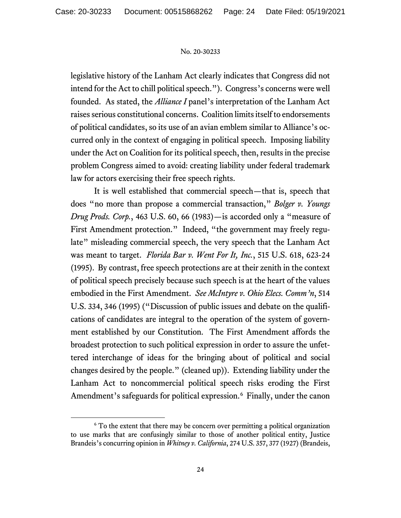legislative history of the Lanham Act clearly indicates that Congress did not intend for the Act to chill political speech."). Congress's concerns were well founded. As stated, the *Alliance I* panel's interpretation of the Lanham Act raises serious constitutional concerns. Coalition limits itself to endorsements of political candidates, so its use of an avian emblem similar to Alliance's occurred only in the context of engaging in political speech. Imposing liability under the Act on Coalition for its political speech, then, results in the precise problem Congress aimed to avoid: creating liability under federal trademark law for actors exercising their free speech rights.

It is well established that commercial speech—that is, speech that does "no more than propose a commercial transaction," *Bolger v. Youngs Drug Prods. Corp.*, 463 U.S. 60, 66 (1983)—is accorded only a "measure of First Amendment protection." Indeed, "the government may freely regulate" misleading commercial speech, the very speech that the Lanham Act was meant to target. *Florida Bar v. Went For It, Inc.*, 515 U.S. 618, 623-24 (1995). By contrast, free speech protections are at their zenith in the context of political speech precisely because such speech is at the heart of the values embodied in the First Amendment. *See McIntyre v. Ohio Elecs. Comm'n*, 514 U.S. 334, 346 (1995) ("Discussion of public issues and debate on the qualifications of candidates are integral to the operation of the system of government established by our Constitution. The First Amendment affords the broadest protection to such political expression in order to assure the unfettered interchange of ideas for the bringing about of political and social changes desired by the people." (cleaned up)). Extending liability under the Lanham Act to noncommercial political speech risks eroding the First Amendment's safeguards for political expression.<sup>[6](#page-23-0)</sup> Finally, under the canon

<span id="page-23-0"></span><sup>&</sup>lt;sup>6</sup> To the extent that there may be concern over permitting a political organization to use marks that are confusingly similar to those of another political entity, Justice Brandeis's concurring opinion in *Whitney v. California*, 274 U.S. 357, 377 (1927) (Brandeis,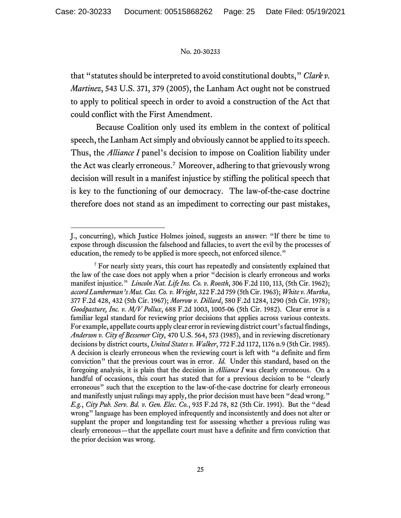that "statutes should be interpreted to avoid constitutional doubts," *Clark v. Martinez*, 543 U.S. 371, 379 (2005), the Lanham Act ought not be construed to apply to political speech in order to avoid a construction of the Act that could conflict with the First Amendment.

Because Coalition only used its emblem in the context of political speech, the Lanham Act simply and obviously cannot be applied to its speech. Thus, the *Alliance I* panel's decision to impose on Coalition liability under the Act was clearly erroneous. [7](#page-24-0) Moreover, adhering to that grievously wrong decision will result in a manifest injustice by stifling the political speech that is key to the functioning of our democracy. The law-of-the-case doctrine therefore does not stand as an impediment to correcting our past mistakes,

J., concurring), which Justice Holmes joined, suggests an answer: "If there be time to expose through discussion the falsehood and fallacies, to avert the evil by the processes of education, the remedy to be applied is more speech, not enforced silence."

<span id="page-24-0"></span><sup>7</sup> For nearly sixty years, this court has repeatedly and consistently explained that the law of the case does not apply when a prior "decision is clearly erroneous and works manifest injustice." *Lincoln Nat. Life Ins. Co. v. Roosth*, 306 F.2d 110, 113, (5th Cir. 1962); *accord Lumberman's Mut. Cas. Co. v. Wright*, 322 F.2d 759 (5th Cir. 1963); *White v. Murtha*, 377 F.2d 428, 432 (5th Cir. 1967); *Morrow v. Dillard*, 580 F.2d 1284, 1290 (5th Cir. 1978); *Goodpasture, Inc. v. M/V Pollux*, 688 F.2d 1003, 1005-06 (5th Cir. 1982). Clear error is a familiar legal standard for reviewing prior decisions that applies across various contexts. For example, appellate courts apply clear error in reviewing district court's factual findings, *Anderson v. City of Bessemer City*, 470 U.S. 564, 573 (1985), and in reviewing discretionary decisions by district courts, *United States v. Walker*, 772 F.2d 1172, 1176 n.9 (5th Cir. 1985). A decision is clearly erroneous when the reviewing court is left with "a definite and firm conviction" that the previous court was in error. *Id.* Under this standard, based on the foregoing analysis, it is plain that the decision in *Alliance I* was clearly erroneous. On a handful of occasions, this court has stated that for a previous decision to be "clearly erroneous" such that the exception to the law-of-the-case doctrine for clearly erroneous and manifestly unjust rulings may apply, the prior decision must have been "dead wrong." *E.g.*, *City Pub. Serv. Bd. v. Gen. Elec. Co.*, 935 F.2d 78, 82 (5th Cir. 1991). But the "dead wrong" language has been employed infrequently and inconsistently and does not alter or supplant the proper and longstanding test for assessing whether a previous ruling was clearly erroneous—that the appellate court must have a definite and firm conviction that the prior decision was wrong.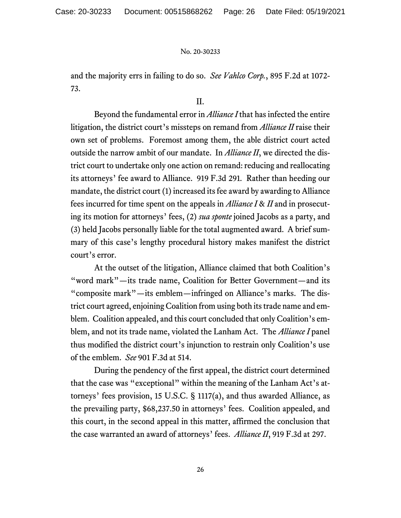and the majority errs in failing to do so. *See Vahlco Corp.*, 895 F.2d at 1072- 73.

II.

Beyond the fundamental error in *Alliance I* that has infected the entire litigation, the district court's missteps on remand from *Alliance II* raise their own set of problems. Foremost among them, the able district court acted outside the narrow ambit of our mandate. In *Alliance II*, we directed the district court to undertake only one action on remand: reducing and reallocating its attorneys' fee award to Alliance. 919 F.3d 291*.* Rather than heeding our mandate, the district court (1) increased its fee award by awarding to Alliance fees incurred for time spent on the appeals in *Alliance I* & *II* and in prosecuting its motion for attorneys' fees, (2) *sua sponte* joined Jacobs as a party, and (3) held Jacobs personally liable for the total augmented award. A brief summary of this case's lengthy procedural history makes manifest the district court's error.

At the outset of the litigation, Alliance claimed that both Coalition's "word mark"—its trade name, Coalition for Better Government—and its "composite mark"—its emblem—infringed on Alliance's marks. The district court agreed, enjoining Coalition from using both its trade name and emblem. Coalition appealed, and this court concluded that only Coalition's emblem, and not its trade name, violated the Lanham Act. The *Alliance I* panel thus modified the district court's injunction to restrain only Coalition's use of the emblem. *See* 901 F.3d at 514.

During the pendency of the first appeal, the district court determined that the case was "exceptional" within the meaning of the Lanham Act's attorneys' fees provision, 15 U.S.C. § 1117(a), and thus awarded Alliance, as the prevailing party, \$68,237.50 in attorneys' fees. Coalition appealed, and this court, in the second appeal in this matter, affirmed the conclusion that the case warranted an award of attorneys' fees. *Alliance II*, 919 F.3d at 297.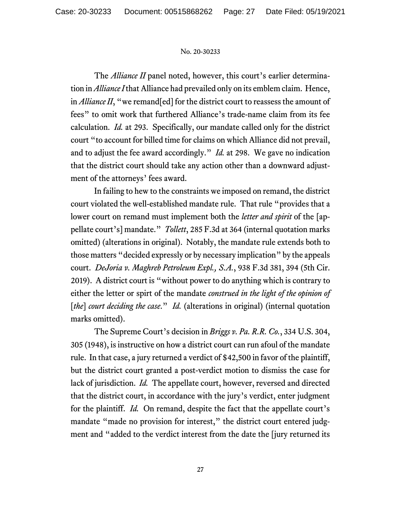The *Alliance II* panel noted, however, this court's earlier determination in *Alliance I* that Alliance had prevailed only on its emblem claim. Hence, in *Alliance II*, "we remand[ed] for the district court to reassess the amount of fees" to omit work that furthered Alliance's trade-name claim from its fee calculation. *Id.* at 293. Specifically, our mandate called only for the district court "to account for billed time for claims on which Alliance did not prevail, and to adjust the fee award accordingly." *Id.* at 298. We gave no indication that the district court should take any action other than a downward adjustment of the attorneys' fees award.

In failing to hew to the constraints we imposed on remand, the district court violated the well-established mandate rule. That rule "provides that a lower court on remand must implement both the *letter and spirit* of the [appellate court's] mandate." *Tollett*, 285 F.3d at 364 (internal quotation marks omitted) (alterations in original). Notably, the mandate rule extends both to those matters "decided expressly or by necessary implication" by the appeals court. *DeJoria v. Maghreb Petroleum Expl., S.A.*, 938 F.3d 381, 394 (5th Cir. 2019). A district court is "without power to do anything which is contrary to either the letter or spirt of the mandate *construed in the light of the opinion of*  [*the*] *court deciding the case.*" *Id.* (alterations in original) (internal quotation marks omitted).

The Supreme Court's decision in *Briggs v. Pa. R.R. Co.*, 334 U.S. 304, 305 (1948), is instructive on how a district court can run afoul of the mandate rule. In that case, a jury returned a verdict of \$42,500 in favor of the plaintiff, but the district court granted a post-verdict motion to dismiss the case for lack of jurisdiction. *Id.* The appellate court, however, reversed and directed that the district court, in accordance with the jury's verdict, enter judgment for the plaintiff. *Id.* On remand, despite the fact that the appellate court's mandate "made no provision for interest," the district court entered judgment and "added to the verdict interest from the date the [jury returned its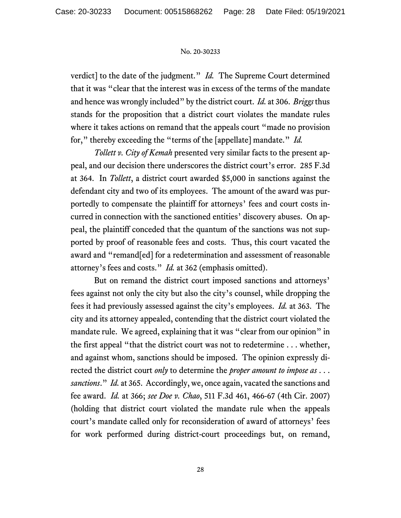verdict] to the date of the judgment." *Id.* The Supreme Court determined that it was "clear that the interest was in excess of the terms of the mandate and hence was wrongly included" by the district court. *Id.* at 306. *Briggs* thus stands for the proposition that a district court violates the mandate rules where it takes actions on remand that the appeals court "made no provision" for," thereby exceeding the "terms of the [appellate] mandate." *Id.*

*Tollett v. City of Kemah* presented very similar facts to the present appeal, and our decision there underscores the district court's error. 285 F.3d at 364. In *Tollett*, a district court awarded \$5,000 in sanctions against the defendant city and two of its employees. The amount of the award was purportedly to compensate the plaintiff for attorneys' fees and court costs incurred in connection with the sanctioned entities' discovery abuses. On appeal, the plaintiff conceded that the quantum of the sanctions was not supported by proof of reasonable fees and costs. Thus, this court vacated the award and "remand[ed] for a redetermination and assessment of reasonable attorney's fees and costs." *Id.* at 362 (emphasis omitted).

But on remand the district court imposed sanctions and attorneys' fees against not only the city but also the city's counsel, while dropping the fees it had previously assessed against the city's employees. *Id.* at 363. The city and its attorney appealed, contending that the district court violated the mandate rule. We agreed, explaining that it was "clear from our opinion" in the first appeal "that the district court was not to redetermine . . . whether, and against whom, sanctions should be imposed. The opinion expressly directed the district court *only* to determine the *proper amount to impose as* . . . *sanctions*." *Id.* at 365. Accordingly, we, once again, vacated the sanctions and fee award. *Id.* at 366; *see Doe v. Chao*, 511 F.3d 461, 466-67 (4th Cir. 2007) (holding that district court violated the mandate rule when the appeals court's mandate called only for reconsideration of award of attorneys' fees for work performed during district-court proceedings but, on remand,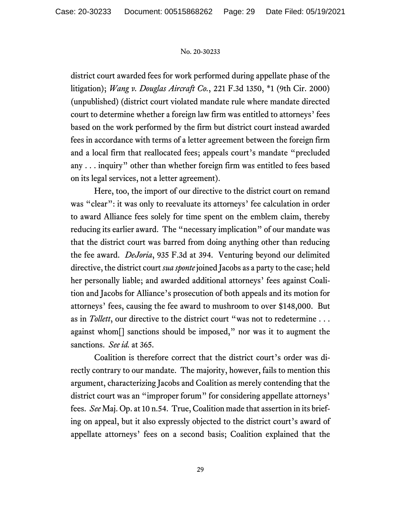district court awarded fees for work performed during appellate phase of the litigation); *Wang v. Douglas Aircraft Co.*, 221 F.3d 1350, \*1 (9th Cir. 2000) (unpublished) (district court violated mandate rule where mandate directed court to determine whether a foreign law firm was entitled to attorneys' fees based on the work performed by the firm but district court instead awarded fees in accordance with terms of a letter agreement between the foreign firm and a local firm that reallocated fees; appeals court's mandate "precluded any . . . inquiry" other than whether foreign firm was entitled to fees based on its legal services, not a letter agreement).

Here, too, the import of our directive to the district court on remand was "clear": it was only to reevaluate its attorneys' fee calculation in order to award Alliance fees solely for time spent on the emblem claim, thereby reducing its earlier award. The "necessary implication" of our mandate was that the district court was barred from doing anything other than reducing the fee award. *DeJoria*, 935 F.3d at 394. Venturing beyond our delimited directive, the district court *sua sponte* joined Jacobs as a party to the case; held her personally liable; and awarded additional attorneys' fees against Coalition and Jacobs for Alliance's prosecution of both appeals and its motion for attorneys' fees, causing the fee award to mushroom to over \$148,000. But as in *Tollett*, our directive to the district court "was not to redetermine . . . against whom[] sanctions should be imposed," nor was it to augment the sanctions. *See id.* at 365.

Coalition is therefore correct that the district court's order was directly contrary to our mandate. The majority, however, fails to mention this argument, characterizing Jacobs and Coalition as merely contending that the district court was an "improper forum" for considering appellate attorneys' fees. *See* Maj. Op. at 10 n.54. True, Coalition made that assertion in its briefing on appeal, but it also expressly objected to the district court's award of appellate attorneys' fees on a second basis; Coalition explained that the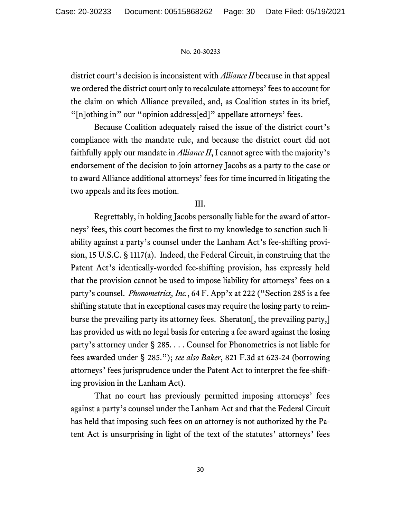district court's decision is inconsistent with *Alliance II* because in that appeal we ordered the district court only to recalculate attorneys' fees to account for the claim on which Alliance prevailed, and, as Coalition states in its brief, "[n]othing in" our "opinion address[ed]" appellate attorneys' fees.

Because Coalition adequately raised the issue of the district court's compliance with the mandate rule, and because the district court did not faithfully apply our mandate in *Alliance II*, I cannot agree with the majority's endorsement of the decision to join attorney Jacobs as a party to the case or to award Alliance additional attorneys' fees for time incurred in litigating the two appeals and its fees motion.

# III.

Regrettably, in holding Jacobs personally liable for the award of attorneys' fees, this court becomes the first to my knowledge to sanction such liability against a party's counsel under the Lanham Act's fee-shifting provision, 15 U.S.C. § 1117(a). Indeed, the Federal Circuit, in construing that the Patent Act's identically-worded fee-shifting provision, has expressly held that the provision cannot be used to impose liability for attorneys' fees on a party's counsel. *Phonometrics, Inc.*, 64 F. App'x at 222 ("Section 285 is a fee shifting statute that in exceptional cases may require the losing party to reimburse the prevailing party its attorney fees. Sheraton[, the prevailing party,] has provided us with no legal basis for entering a fee award against the losing party's attorney under § 285. . . . Counsel for Phonometrics is not liable for fees awarded under § 285."); *see also Baker*, 821 F.3d at 623-24 (borrowing attorneys' fees jurisprudence under the Patent Act to interpret the fee-shifting provision in the Lanham Act).

That no court has previously permitted imposing attorneys' fees against a party's counsel under the Lanham Act and that the Federal Circuit has held that imposing such fees on an attorney is not authorized by the Patent Act is unsurprising in light of the text of the statutes' attorneys' fees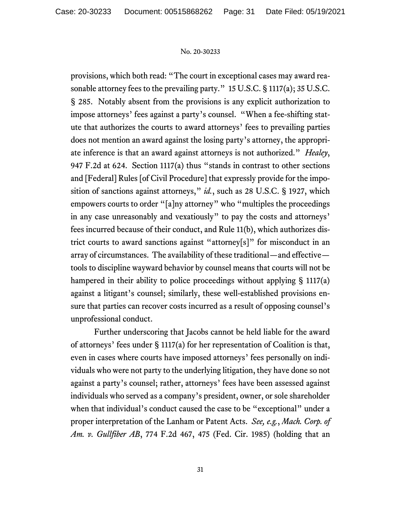provisions, which both read: "The court in exceptional cases may award reasonable attorney fees to the prevailing party." 15 U.S.C. § 1117(a); 35 U.S.C. § 285. Notably absent from the provisions is any explicit authorization to impose attorneys' fees against a party's counsel. "When a fee-shifting statute that authorizes the courts to award attorneys' fees to prevailing parties does not mention an award against the losing party's attorney, the appropriate inference is that an award against attorneys is not authorized." *Healey*, 947 F.2d at 624. Section 1117(a) thus "stands in contrast to other sections and [Federal] Rules [of Civil Procedure] that expressly provide for the imposition of sanctions against attorneys," *id.*, such as 28 U.S.C. § 1927, which empowers courts to order "[a]ny attorney" who "multiples the proceedings in any case unreasonably and vexatiously" to pay the costs and attorneys' fees incurred because of their conduct, and Rule 11(b), which authorizes district courts to award sanctions against "attorney[s]" for misconduct in an array of circumstances. The availability of these traditional—and effective tools to discipline wayward behavior by counsel means that courts will not be hampered in their ability to police proceedings without applying § 1117(a) against a litigant's counsel; similarly, these well-established provisions ensure that parties can recover costs incurred as a result of opposing counsel's unprofessional conduct.

Further underscoring that Jacobs cannot be held liable for the award of attorneys' fees under § 1117(a) for her representation of Coalition is that, even in cases where courts have imposed attorneys' fees personally on individuals who were not party to the underlying litigation, they have done so not against a party's counsel; rather, attorneys' fees have been assessed against individuals who served as a company's president, owner, or sole shareholder when that individual's conduct caused the case to be "exceptional" under a proper interpretation of the Lanham or Patent Acts. *See, e.g.*, *Mach. Corp. of Am. v. Gullfiber AB*, 774 F.2d 467, 475 (Fed. Cir. 1985) (holding that an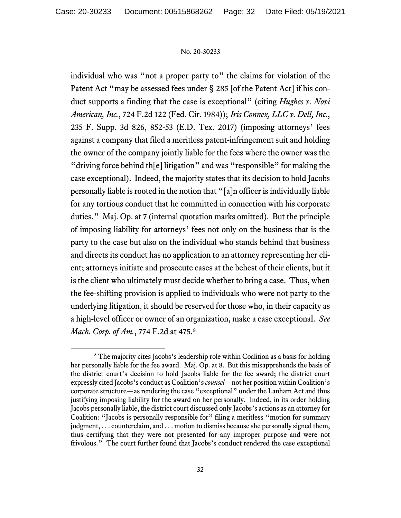individual who was "not a proper party to" the claims for violation of the Patent Act "may be assessed fees under § 285 [of the Patent Act] if his conduct supports a finding that the case is exceptional" (citing *Hughes v. Novi American, Inc.*, 724 F.2d 122 (Fed. Cir. 1984)); *Iris Connex, LLC v. Dell, Inc.*, 235 F. Supp. 3d 826, 852-53 (E.D. Tex. 2017) (imposing attorneys' fees against a company that filed a meritless patent-infringement suit and holding the owner of the company jointly liable for the fees where the owner was the "driving force behind th[e] litigation" and was "responsible" for making the case exceptional). Indeed, the majority states that its decision to hold Jacobs personally liable is rooted in the notion that "[a]n officer is individually liable for any tortious conduct that he committed in connection with his corporate duties." Maj. Op. at 7 (internal quotation marks omitted). But the principle of imposing liability for attorneys' fees not only on the business that is the party to the case but also on the individual who stands behind that business and directs its conduct has no application to an attorney representing her client; attorneys initiate and prosecute cases at the behest of their clients, but it is the client who ultimately must decide whether to bring a case. Thus, when the fee-shifting provision is applied to individuals who were not party to the underlying litigation, it should be reserved for those who, in their capacity as a high-level officer or owner of an organization, make a case exceptional. *See Mach. Corp. of Am.*, 774 F.2d at 475.[8](#page-31-0)

<span id="page-31-0"></span><sup>&</sup>lt;sup>8</sup> The majority cites Jacobs's leadership role within Coalition as a basis for holding her personally liable for the fee award. Maj. Op. at 8. But this misapprehends the basis of the district court's decision to hold Jacobs liable for the fee award; the district court expressly cited Jacobs's conduct as Coalition's *counsel*—not her position within Coalition's corporate structure—as rendering the case "exceptional" under the Lanham Act and thus justifying imposing liability for the award on her personally. Indeed, in its order holding Jacobs personally liable, the district court discussed only Jacobs's actions as an attorney for Coalition: "Jacobs is personally responsible for" filing a meritless "motion for summary judgment, . . . counterclaim, and . . . motion to dismiss because she personally signed them, thus certifying that they were not presented for any improper purpose and were not frivolous." The court further found that Jacobs's conduct rendered the case exceptional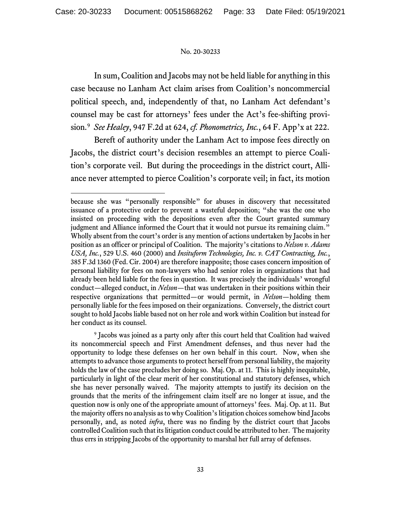In sum, Coalition and Jacobs may not be held liable for anything in this case because no Lanham Act claim arises from Coalition's noncommercial political speech, and, independently of that, no Lanham Act defendant's counsel may be cast for attorneys' fees under the Act's fee-shifting provision.[9](#page-32-0) *See Healey*, 947 F.2d at 624, *cf. Phonometrics, Inc.*, 64 F. App'x at 222.

Bereft of authority under the Lanham Act to impose fees directly on Jacobs, the district court's decision resembles an attempt to pierce Coalition's corporate veil. But during the proceedings in the district court, Alliance never attempted to pierce Coalition's corporate veil; in fact, its motion

because she was "personally responsible" for abuses in discovery that necessitated issuance of a protective order to prevent a wasteful deposition; "she was the one who insisted on proceeding with the depositions even after the Court granted summary judgment and Alliance informed the Court that it would not pursue its remaining claim." Wholly absent from the court's order is any mention of actions undertaken by Jacobs in her position as an officer or principal of Coalition. The majority's citations to *Nelson v. Adams USA, Inc.*, 529 U.S. 460 (2000) and *Insituform Technologies, Inc. v. CAT Contracting, Inc.*, 385 F.3d 1360 (Fed. Cir. 2004) are therefore inapposite; those cases concern imposition of personal liability for fees on non-lawyers who had senior roles in organizations that had already been held liable for the fees in question. It was precisely the individuals' wrongful conduct—alleged conduct, in *Nelson*—that was undertaken in their positions within their respective organizations that permitted—or would permit, in *Nelson*—holding them personally liable for the fees imposed on their organizations. Conversely, the district court sought to hold Jacobs liable based not on her role and work within Coalition but instead for her conduct as its counsel.

<span id="page-32-0"></span><sup>9</sup> Jacobs was joined as a party only after this court held that Coalition had waived its noncommercial speech and First Amendment defenses, and thus never had the opportunity to lodge these defenses on her own behalf in this court. Now, when she attempts to advance those arguments to protect herself from personal liability, the majority holds the law of the case precludes her doing so. Maj. Op. at 11. This is highly inequitable, particularly in light of the clear merit of her constitutional and statutory defenses, which she has never personally waived. The majority attempts to justify its decision on the grounds that the merits of the infringement claim itself are no longer at issue, and the question now is only one of the appropriate amount of attorneys' fees. Maj. Op. at 11.But the majority offers no analysis as to why Coalition's litigation choices somehow bind Jacobs personally, and, as noted *infra*, there was no finding by the district court that Jacobs controlled Coalition such that its litigation conduct could be attributed to her. The majority thus errs in stripping Jacobs of the opportunity to marshal her full array of defenses.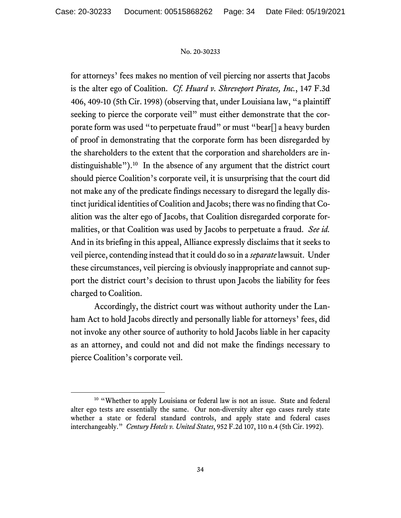for attorneys' fees makes no mention of veil piercing nor asserts that Jacobs is the alter ego of Coalition. *Cf. Huard v. Shreveport Pirates, Inc.*, 147 F.3d 406, 409-10 (5th Cir. 1998) (observing that, under Louisiana law, "a plaintiff seeking to pierce the corporate veil" must either demonstrate that the corporate form was used "to perpetuate fraud" or must "bear[] a heavy burden of proof in demonstrating that the corporate form has been disregarded by the shareholders to the extent that the corporation and shareholders are in-distinguishable").<sup>[10](#page-33-0)</sup> In the absence of any argument that the district court should pierce Coalition's corporate veil, it is unsurprising that the court did not make any of the predicate findings necessary to disregard the legally distinct juridical identities of Coalition and Jacobs; there was no finding that Coalition was the alter ego of Jacobs, that Coalition disregarded corporate formalities, or that Coalition was used by Jacobs to perpetuate a fraud. *See id.* And in its briefing in this appeal, Alliance expressly disclaims that it seeks to veil pierce, contending instead that it could do so in a *separate* lawsuit. Under these circumstances, veil piercing is obviously inappropriate and cannot support the district court's decision to thrust upon Jacobs the liability for fees charged to Coalition.

Accordingly, the district court was without authority under the Lanham Act to hold Jacobs directly and personally liable for attorneys' fees, did not invoke any other source of authority to hold Jacobs liable in her capacity as an attorney, and could not and did not make the findings necessary to pierce Coalition's corporate veil.

<span id="page-33-0"></span><sup>&</sup>lt;sup>10</sup> "Whether to apply Louisiana or federal law is not an issue. State and federal alter ego tests are essentially the same. Our non-diversity alter ego cases rarely state whether a state or federal standard controls, and apply state and federal cases interchangeably." *Century Hotels v. United States*, 952 F.2d 107, 110 n.4 (5th Cir. 1992).